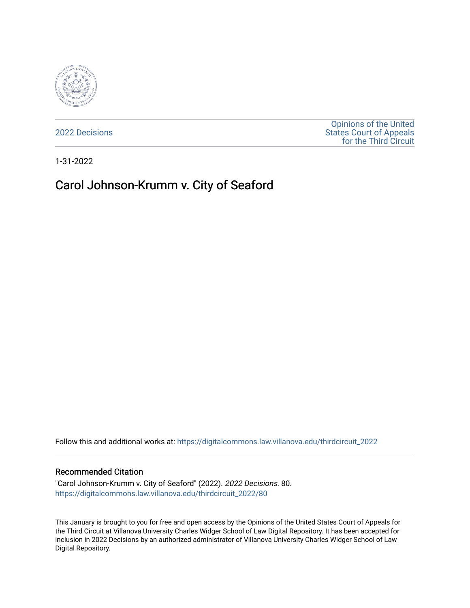

[2022 Decisions](https://digitalcommons.law.villanova.edu/thirdcircuit_2022)

[Opinions of the United](https://digitalcommons.law.villanova.edu/thirdcircuit)  [States Court of Appeals](https://digitalcommons.law.villanova.edu/thirdcircuit)  [for the Third Circuit](https://digitalcommons.law.villanova.edu/thirdcircuit) 

1-31-2022

# Carol Johnson-Krumm v. City of Seaford

Follow this and additional works at: [https://digitalcommons.law.villanova.edu/thirdcircuit\\_2022](https://digitalcommons.law.villanova.edu/thirdcircuit_2022?utm_source=digitalcommons.law.villanova.edu%2Fthirdcircuit_2022%2F80&utm_medium=PDF&utm_campaign=PDFCoverPages) 

#### Recommended Citation

"Carol Johnson-Krumm v. City of Seaford" (2022). 2022 Decisions. 80. [https://digitalcommons.law.villanova.edu/thirdcircuit\\_2022/80](https://digitalcommons.law.villanova.edu/thirdcircuit_2022/80?utm_source=digitalcommons.law.villanova.edu%2Fthirdcircuit_2022%2F80&utm_medium=PDF&utm_campaign=PDFCoverPages)

This January is brought to you for free and open access by the Opinions of the United States Court of Appeals for the Third Circuit at Villanova University Charles Widger School of Law Digital Repository. It has been accepted for inclusion in 2022 Decisions by an authorized administrator of Villanova University Charles Widger School of Law Digital Repository.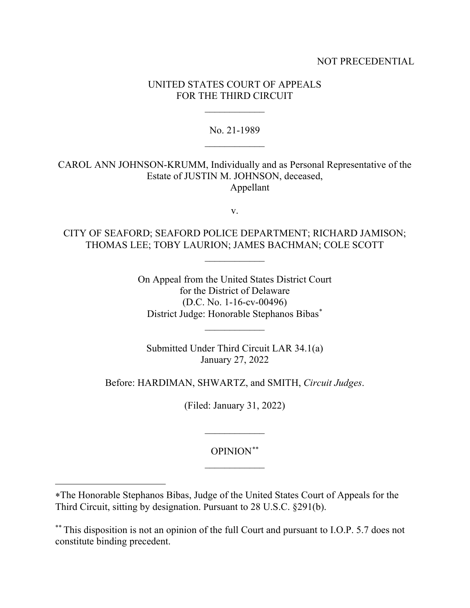## NOT PRECEDENTIAL

## UNITED STATES COURT OF APPEALS FOR THE THIRD CIRCUIT

 $\frac{1}{2}$ 

No. 21-1989  $\frac{1}{2}$ 

CAROL ANN JOHNSON-KRUMM, Individually and as Personal Representative of the Estate of JUSTIN M. JOHNSON, deceased, Appellant

v.

CITY OF SEAFORD; SEAFORD POLICE DEPARTMENT; RICHARD JAMISON; THOMAS LEE; TOBY LAURION; JAMES BACHMAN; COLE SCOTT

 $\frac{1}{2}$ 

On Appeal from the United States District Court for the District of Delaware (D.C. No. 1-16-cv-00496) District Judge: Honorable Stephanos Bibas\*

 $\overline{\phantom{a}}$ 

Submitted Under Third Circuit LAR 34.1(a) January 27, 2022

Before: HARDIMAN, SHWARTZ, and SMITH, *Circuit Judges*.

(Filed: January 31, 2022)

OPINION\*\*  $\frac{1}{2}$ 

 $\frac{1}{2}$ 

<sup>∗</sup>The Honorable Stephanos Bibas, Judge of the United States Court of Appeals for the Third Circuit, sitting by designation. Pursuant to 28 U.S.C. §291(b).

<sup>\*\*</sup> This disposition is not an opinion of the full Court and pursuant to I.O.P. 5.7 does not constitute binding precedent.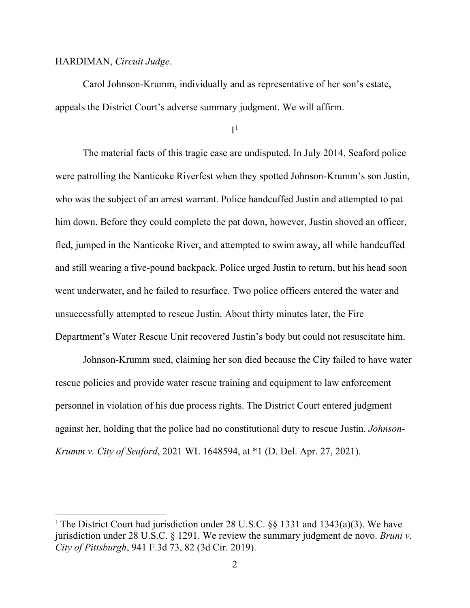#### HARDIMAN, *Circuit Judge*.

Carol Johnson-Krumm, individually and as representative of her son's estate, appeals the District Court's adverse summary judgment. We will affirm.

 $I<sup>1</sup>$ 

The material facts of this tragic case are undisputed. In July 2014, Seaford police were patrolling the Nanticoke Riverfest when they spotted Johnson-Krumm's son Justin, who was the subject of an arrest warrant. Police handcuffed Justin and attempted to pat him down. Before they could complete the pat down, however, Justin shoved an officer, fled, jumped in the Nanticoke River, and attempted to swim away, all while handcuffed and still wearing a five-pound backpack. Police urged Justin to return, but his head soon went underwater, and he failed to resurface. Two police officers entered the water and unsuccessfully attempted to rescue Justin. About thirty minutes later, the Fire Department's Water Rescue Unit recovered Justin's body but could not resuscitate him.

Johnson-Krumm sued, claiming her son died because the City failed to have water rescue policies and provide water rescue training and equipment to law enforcement personnel in violation of his due process rights. The District Court entered judgment against her, holding that the police had no constitutional duty to rescue Justin. *Johnson-Krumm v. City of Seaford*, 2021 WL 1648594, at \*1 (D. Del. Apr. 27, 2021).

<sup>&</sup>lt;sup>1</sup> The District Court had jurisdiction under 28 U.S.C. §§ 1331 and 1343(a)(3). We have jurisdiction under 28 U.S.C. § 1291. We review the summary judgment de novo. *Bruni v. City of Pittsburgh*, 941 F.3d 73, 82 (3d Cir. 2019).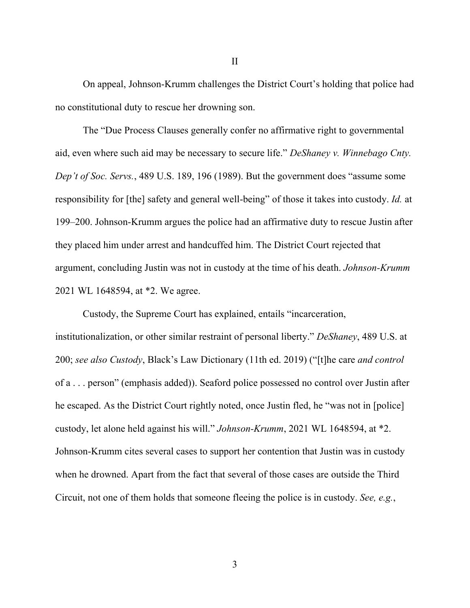On appeal, Johnson-Krumm challenges the District Court's holding that police had no constitutional duty to rescue her drowning son.

II

The "Due Process Clauses generally confer no affirmative right to governmental aid, even where such aid may be necessary to secure life." *DeShaney v. Winnebago Cnty. Dep't of Soc. Servs.*, 489 U.S. 189, 196 (1989). But the government does "assume some responsibility for [the] safety and general well-being" of those it takes into custody. *Id.* at 199–200. Johnson-Krumm argues the police had an affirmative duty to rescue Justin after they placed him under arrest and handcuffed him. The District Court rejected that argument, concluding Justin was not in custody at the time of his death. *Johnson-Krumm* 2021 WL 1648594, at \*2. We agree.

Custody, the Supreme Court has explained, entails "incarceration, institutionalization, or other similar restraint of personal liberty." *DeShaney*, 489 U.S. at 200; *see also Custody*, Black's Law Dictionary (11th ed. 2019) ("[t]he care *and control* of a . . . person" (emphasis added)). Seaford police possessed no control over Justin after he escaped. As the District Court rightly noted, once Justin fled, he "was not in [police] custody, let alone held against his will." *Johnson-Krumm*, 2021 WL 1648594, at \*2. Johnson-Krumm cites several cases to support her contention that Justin was in custody when he drowned. Apart from the fact that several of those cases are outside the Third Circuit, not one of them holds that someone fleeing the police is in custody. *See, e.g.*,

3